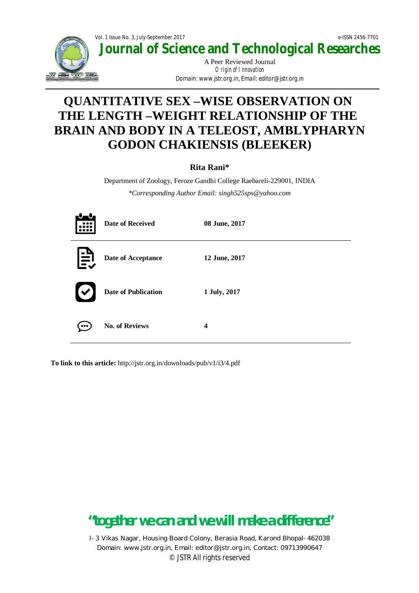

**Journal of Science and Technological Researches**

A Peer Reviewed Journal Origin of Innovation *Domain: www.jstr.org.in, Email: editor@jstr.org.in*

# **QUANTITATIVE SEX –WISE OBSERVATION ON THE LENGTH –WEIGHT RELATIONSHIP OF THE BRAIN AND BODY IN A TELEOST, AMBLYPHARYN GODON CHAKIENSIS (BLEEKER)**

### **Rita Rani\***

Department of Zoology, Feroze Gandhi College Raebareli-229001, INDIA *\*Corresponding Author Email: singh525sps@yahoo.com*

| H            | <b>Date of Received</b>    | 08 June, 2017 |
|--------------|----------------------------|---------------|
| $\mathbf{E}$ | Date of Acceptance         | 12 June, 2017 |
|              | <b>Date of Publication</b> | 1 July, 2017  |
|              | <b>No. of Reviews</b>      | 4             |

**To link to this article:** http://jstr.org.in/downloads/pub/v1/i3/4.pdf

# **"together we can and we will make a difference"**

I-3 Vikas Nagar, Housing Board Colony, Berasia Road, Karond Bhopal-462038 Domain: www.jstr.org.in, Email: editor@jstr.org.in, Contact: 09713990647 © JSTR All rights reserved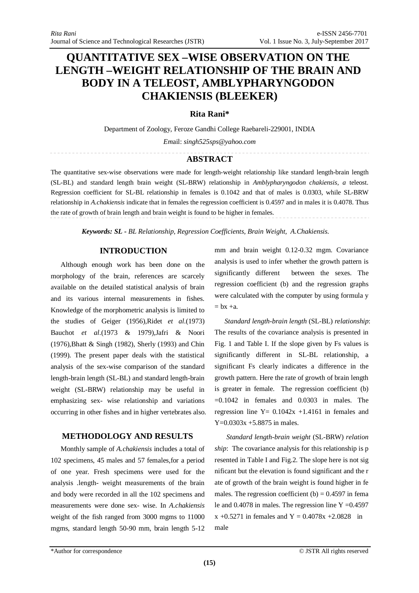## **QUANTITATIVE SEX –WISE OBSERVATION ON THE LENGTH –WEIGHT RELATIONSHIP OF THE BRAIN AND BODY IN A TELEOST, AMBLYPHARYNGODON CHAKIENSIS (BLEEKER)**

#### **Rita Rani\***

Department of Zoology, Feroze Gandhi College Raebareli-229001, INDIA

*Em*ail: *singh525sps@yahoo.com*

### **ABSTRACT**

The quantitative sex-wise observations were made for length-weight relationship like standard length-brain length (SL-BL) and standard length brain weight (SL-BRW) relationship in *Amblypharyngodon chakiensis, a* teleost. Regression coefficient for SL-BL relationship in females is 0.1042 and that of males is 0.0303, while SL-BRW relationship in *A.chakiensis* indicate that in females the regression coefficient is 0.4597 and in males it is 0.4078. Thus the rate of growth of brain length and brain weight is found to be higher in females.

*Keywords: SL - BL Relationship, Regression Coefficients, Brain Weight, A.Chakiensis.*

#### **INTRODUCTION**

Although enough work has been done on the morphology of the brain, references are scarcely available on the detailed statistical analysis of brain and its various internal measurements in fishes. Knowledge of the morphometric analysis is limited to the studies of Geiger (1956),Ridet *et al*.(1973) Bauchot *et al*.(1973 & 1979),Jafri & Noori (1976),Bhatt & Singh (1982), Sherly (1993) and Chin (1999). The present paper deals with the statistical analysis of the sex-wise comparison of the standard length-brain length (SL-BL) and standard length-brain weight (SL-BRW) relationship may be useful in emphasizing sex- wise relationship and variations occurring in other fishes and in higher vertebrates also.

#### **METHODOLOGY AND RESULTS**

Monthly sample of *A.chakiensis* includes a total of 102 specimens, 45 males and 57 females,for a period of one year. Fresh specimens were used for the analysis .length- weight measurements of the brain and body were recorded in all the 102 specimens and measurements were done sex- wise. In *A.chakiensis* weight of the fish ranged from 3000 mgms to 11000 mgms, standard length 50-90 mm, brain length 5-12 mm and brain weight 0.12-0.32 mgm. Covariance analysis is used to infer whether the growth pattern is significantly different between the sexes. The regression coefficient (b) and the regression graphs were calculated with the computer by using formula y  $= bx + a$ .

*Standard length-brain length* (SL-BL) *relationship*: The results of the covariance analysis is presented in Fig. 1 and Table I. If the slope given by Fs values is significantly different in SL-BL relationship, a significant Fs clearly indicates a difference in the growth pattern. Here the rate of growth of brain length is greater in female. The regression coefficient (b)  $=0.1042$  in females and 0.0303 in males. The regression line  $Y = 0.1042x + 1.4161$  in females and Y=0.0303x +5.8875 in males.

*Standard length-brain weight* (SL-BRW) *relation ship*: The covariance analysis for this relationship is p resented in Table I and Fig.2. The slope here is not sig nificant but the elevation is found significant and the r ate of growth of the brain weight is found higher in fe males. The regression coefficient  $(b) = 0.4597$  in fema le and  $0.4078$  in males. The regression line Y = 0.4597  $x +0.5271$  in females and  $Y = 0.4078x +2.0828$  in male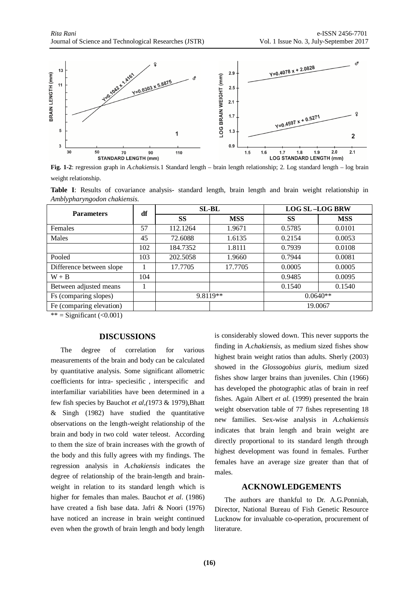

**Fig. 1-2**: regression graph in *A.chakiensis.*1 Standard length – brain length relationship; 2. Log standard length – log brain weight relationship.

|                              |  |  |  |  |  |  |  |  |  | Table I: Results of covariance analysis-standard length, brain length and brain weight relationship in |  |
|------------------------------|--|--|--|--|--|--|--|--|--|--------------------------------------------------------------------------------------------------------|--|
| Amblypharyngodon chakiensis. |  |  |  |  |  |  |  |  |  |                                                                                                        |  |
|                              |  |  |  |  |  |  |  |  |  |                                                                                                        |  |

| <b>Parameters</b>        | df  |          | <b>SL-BL</b> | <b>LOG SL-LOG BRW</b> |            |  |
|--------------------------|-----|----------|--------------|-----------------------|------------|--|
|                          |     | SS       | <b>MSS</b>   | SS                    | <b>MSS</b> |  |
| Females                  | 57  | 112.1264 | 1.9671       | 0.5785                | 0.0101     |  |
| Males                    | 45  | 72.6088  | 1.6135       | 0.2154                | 0.0053     |  |
|                          | 102 | 184.7352 | 1.8111       | 0.7939                | 0.0108     |  |
| Pooled                   | 103 | 202.5058 | 1.9660       | 0.7944                | 0.0081     |  |
| Difference between slope |     | 17.7705  | 17.7705      | 0.0005                | 0.0005     |  |
| $W + B$                  | 104 |          |              | 0.9485                | 0.0095     |  |
| Between adjusted means   | 1   |          |              | 0.1540                | 0.1540     |  |
| Fs (comparing slopes)    |     |          | 9.8119**     | $0.0640**$            |            |  |
| Fe (comparing elevation) |     |          |              |                       | 19.0067    |  |

\*\* = Significant  $(\leq 0.001)$ 

#### **DISCUSSIONS**

The degree of correlation for various measurements of the brain and body can be calculated by quantitative analysis. Some significant allometric coefficients for intra- speciesific , interspecific and interfamiliar variabilities have been determined in a few fish species by Bauchot *et al,(*1973 & 1979),Bhatt & Singh (1982) have studied the quantitative observations on the length-weight relationship of the brain and body in two cold water teleost. According to them the size of brain increases with the growth of the body and this fully agrees with my findings. The regression analysis in *A.chakiensis* indicates the degree of relationship of the brain-length and brainweight in relation to its standard length which is higher for females than males. Bauchot *et al*. (1986) have created a fish base data. Jafri & Noori (1976) have noticed an increase in brain weight continued even when the growth of brain length and body length is considerably slowed down. This never supports the finding in *A.chakiensis*, as medium sized fishes show highest brain weight ratios than adults. Sherly (2003) showed in the *Glossogobius giuris*, medium sized fishes show larger brains than juveniles. Chin (1966) has developed the photographic atlas of brain in reef fishes. Again Albert *et al.* (1999) presented the brain weight observation table of 77 fishes representing 18 new families. Sex-wise analysis in *A.chakiensis* indicates that brain length and brain weight are directly proportional to its standard length through highest development was found in females. Further females have an average size greater than that of males.

#### **ACKNOWLEDGEMENTS**

The authors are thankful to Dr. A.G.Ponniah, Director, National Bureau of Fish Genetic Resource Lucknow for invaluable co-operation, procurement of literature.